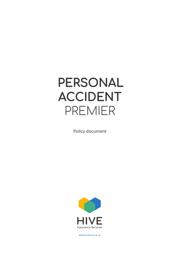# **PERSONAL ACCIDENT** PREMIER

Policy document



**www.hiveinsure.ie**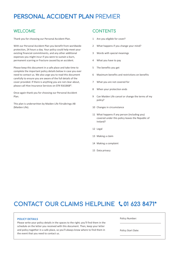## **PERSONAL ACCIDENT PLAN** PREMIER

### WELCOME

Thank you for choosing our Personal Accident Plan.

With our Personal Accident Plan you benefit from worldwide protection, 24 hours a day. Your policy could help meet your existing financial commitments, and any other additional expenses you might incur if you were to sustain a burn, permanent scarring or fracture caused by an accident.

Please keep this document in a safe place and take time to complete the important policy details below in case you ever need to contact us. We also urge you to read this document carefully to ensure you are aware of the full details of the cover provided. If there is anything you are not clear about, please call Hive Insurance Services on 074 9161868\*.

Once again thank you for choosing our Personal Accident Plan.

This plan is underwritten by Maiden Life Försäkrings AB (Maiden Life).

### **CONTENTS**

- 1 Are you eligible for cover?
- 2 What happens if you change your mind?
- 3 Words with special meanings
- 4 What you have to pay
- 5 The benefits you get
- 6 Maximum benefits and restrictions on benefits
- 7 What you are not covered for
- 8 When your protection ends
- 9 Can Maiden Life cancel or change the terms of my policy?
- 10 Changes in circumstance
- 11 What happens if any person (including you) covered under this policy leaves the Republic of Ireland?
- 12 Legal
- 13 Making a claim
- 14 Making a complaint
- 15 Data privacy

# **CONTACT OUR CLAIMS HELPLINE 01 623 8471\***

### **POLICY DETAILS**

Please write your policy details in the spaces to the right; you'll find them in the schedule on the letter you received with this document. Then, keep your letter and policy together in a safe place, so you'll always know where to find them in the event that you need to contact us.

Policy Number:

Policy Start Date: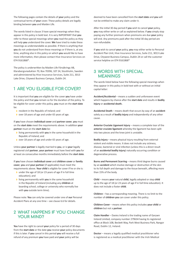The following pages contain the details of **your** policy and the contractual terms of **your** cover. These policy details are legally binding between **you** and Maiden Life.

The words listed in clause 3 have special meanings when they appear in this policy in bold text. It is very IMPORTANT that **you** refer to these special meanings when **you** read the policy as they will help **you** understand the cover. **We** have tried to make these meanings as understandable as possible. If there is anything that **you** do not understand from these meanings or if there is, at any time, anything else in this policy on which **you** would like to have more information, then please contact Hive Insurance Services on 074 9161868\*.

The policy is underwritten by Maiden Life Försäkrings AB, Klarabergsviadukten 70, Box 70396, 107 24, Stockholm, Sweden and administered by Hive Insurance Services, Suite 211, 3013 Lake Drive, Citywest Business Campus, Dublin 24.

### 1 ARE YOU ELIGIBLE FOR COVER?

It is important that **you** are eligible for the cover **you** have under the policy and that **you** remain so for the duration of the policy. To be eligible for cover under this policy, **you** must on the **start date** be:

- **I** resident in the Republic of Ireland; and
- › over 18 years of age and under 65 years of age.

If **you** have chosen **individual cover** and **partner cover**, **you** must on the **start date** meet the requirements above. In addition **your partner** must on the **start date** be:

- › living permanently with **you** in the same household in the Republic of Ireland; and
- › over 18 years of age and under 65 years of age.

Unless **your partner** is legally married to **you**, or is **your** legally registered civil **partner**, **your partner** must have lived with **you** for at least six consecutive months immediately before the **start date**.

If **you** have chosen **individual cover** and **children cover** or **family cover**, **you** and **your partner** (if applicable) must meet the requirements above. **Your child** is eligible for cover if he or she is:

- › under the age of 18 (or 23 years of age if in full time education); and
- › living permanently with **you** in the same household in the Republic of Ireland (including any **children** at boarding school, college or university who normally live with **you** outside term time).

Please note: **You** can only be covered under one of **our** Personal Accident Plans at any one time – see clause 6.6 for details.

### **2 WHAT HAPPENS IF YOU CHANGE YOUR MIND?**

**You** have the right to cancel **your** policy for a period of 30 days from the **start date** or the date **you** receive **your** policy documents if this is later. If **you** cancel in this period **you** will receive a full refund of any premium **you** have paid and **your** policy will be

deemed to have been cancelled from the **start date** and **you** will not be entitled to make any claim under it.

After the initial 30 day period if **you** wish to cancel **your** policy, **you** may either write or call as explained below. If **you** simply stop paying any further premium when premiums are due **your** policy will end. Any premiums paid after the initial 30 day period are non-refundable.

If **you** wish to cancel **your** policy, **you** may either write to Personal Accident Plan Unit, Hive Insurance Services, Suite 211, 3013 Lake Drive, Citywest Business Campus, Dublin 24 or call the customer service helpline on 074 9161868\*

### **3 WORDS WITH SPECIAL MEANINGS**

The words listed below have the following special meanings when they appear in this policy in bold text with or without an initial capital letter:

**Accident/Accidental** – means a sudden and unforeseen event which happens by chance after the **start date** and results in **bodily injury** or **accidental death.**

**Accidental Death** – means death that occurs by way of an **accident** solely as a result of **bodily injury** and independently of any other cause.

**Anterior Cruciate Ligament Injury** – means a complete tear of the **anterior cruciate ligament** whereby the ligament has been split into two pieces and the knee joint is unstable.

**Bodily Injury** – means physical injury resulting from external violent and visible means. It does not include any sickness, disease, bacterial or viral infection (unless this is a direct result of an **accidental bodily injury**) naturally occurring condition or degenerative process.

**Burns and Permanent Scarring** – means third degree burns caused by an **accident** which involve damage or destruction of the skin to its full depth and damage to the tissue beneath, affecting more than 15% of the body.

**Child** – means **your** natural **child**, legally adopted or step **child** up to the age of 18 (or 23 years of age if in full time education). It does not include a foster **child**.

**Children** – has a corresponding meaning. There is no limit to the number of **children you** can cover under this policy.

**Children Cover** – means when this policy includes **your child** or **children** but not a **partner**.

**Claim Handler** – Davies Ireland is the trading name of Garywn Ireland Limited, company number 279634 having its registered office at Block 10B, Beckett Way, Park West Business Park, Nangor Road, Dublin 12, Ireland.

**Doctor** – means a legally qualified medical practitioner who is registered as a medical practitioner with the Irish Medical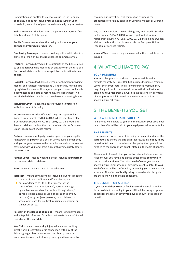Organisation and entitled to practice as such in the Republic of Ireland. It does not include **you**, someone living in **your** household, a member of **your** immediate family or **your** partner.

**End Date** – means the date when the policy ends. **You** can find details in clause 8 of this policy.

**Family Cover** – means when this policy includes **you**, **your partner** and **your child** or **children**.

**Fare Paying Passenger** – means travelling with a valid ticket in a plane, ship, train or bus that is a licensed common carrier.

**Fracture** – means a breach in the continuity of the bone caused by an **accident** which is identified by an x-ray or in the case of a **fracture** which is unable to be x-rayed, by confirmation from a **doctor**.

**Hospital** – means a lawfully registered establishment providing medical and surgical treatment and 24-hour a day nursing care by registered nurses for ill or injured people. It does not include a convalescent, self-care or rest home, or a department in a **hospital** which has the role of a convalescent or nursing home.

**Individual Cover** – means the cover provided to **you** as an individual under this policy.

**Insurer** – means Maiden Life Försäkrings AB, registered in Sweden under number 516406-0468, whose registered office is at Klarabergsviadukten 70, Box 70396, 107 24, Stockholm, Sweden. Maiden Life is authorised in Ireland via the European Union Freedom of Services regime.

**Partner** – means **your** legally married spouse, or **your** legally registered civil **partner**, or a person who is living permanently with **you** as **your partner** in the same household and who must have lived with **you** for at least six months immediately before the **start date**.

**Partner Cover** – means when this policy includes **your partner**  but not **your child** or **children**.

**Start Date** – is the date stated in the schedule.

**Terrorism** – means any act or acts, including (but not limited to):

- › the use of threat of force and/or violence; and
- › harm or damage to life or to property (or the threat of such harm or damage), harm or damage by nuclear and/or chemical and/or biological and/ or radiological means; caused or occasioned by any person(s), or group(s) or persons, or so claimed, in whole or in part, for political, religious, ideological or similar purposes.

**Resident of the Republic of Ireland** – means living permanently in the Republic of Ireland for at least 40 weeks in every 52 week period after the **start date**.

**War Risks** – means any **bodily injury** whatsoever resulting directly or indirectly from or in connection with any of the following, regardless of any other contributing cause or event: war, invasion, act of foreign enemy, civil war, rebellion, revolution, insurrection, civil commotion assuming the proportions of or amounting to an uprising, military or usurped power.

**We, Us, Our** – Maiden Life Försäkrings AB, registered in Sweden under number 516406-0468, whose registered office is at Klarabergsviadukten 70, Box 70396, 107 24, Stockholm, Sweden. Maiden Life is authorised in Ireland via the European Union Freedom of Services regime.

**You and Your** – means the person named in the schedule as the insured.

### 4 WHAT YOU HAVE TO PAY

#### **YOUR PREMIUM**

**Your** monthly premium is shown in **your** schedule and is payable monthly by Direct Debit. It includes Insurance Premium Levy at the current rate. The rate of Insurance Premium Levy may change, in which case **we** will automatically adjust **your** premium. **Your** first premium will also include one-off payment of Stamp Duty which is levied on new insurance policies, as shown in **your** schedule.

### 5 THE BENEFITS YOU GET

#### **WHO WILL BENEFITS BE PAID TO?**

All benefits will be paid to **you** or in the event of **your** accidental death, benefits will be paid to **your** legal personal representative.

#### **THE BENEFITS**

If any person covered under this policy has an **accident** after the **start date** and before the **end date** that results in a **bodily injury** or **accidental death** covered under this policy then **you** will be entitled to the appropriate benefit stated in the table of benefits.

The amount of benefit that **you** will receive will depend on the level of cover **you** have, and on the effect of the **bodily injury**  caused by the **accident**. The initial level of cover **you** have is shown in **your** initial schedule; any subsequent updates to **your** level of cover will be confirmed by **us** sending **you** a new updated schedule. The effects of **bodily injury** covered under this policy are those shown in the table of benefits.

#### **THE BENEFIT FOR A CHILD**

If **you** have **children cover** or **family cover** the benefit payable for an **accident** happening to **your child** will be the appropriate benefit for the level of cover **you** have as shown in the table of benefits.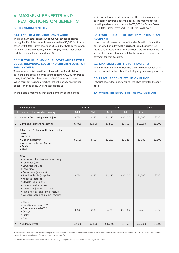### **6 MAXIMUM BENEFITS AND RESTRICTIONS ON BENEFITS**

### **6.1 MAXIMUM BENEFITS**

### **6.1.1 IF YOU HAVE INDIVIDUAL COVER ALONE**

The maximum total benefit which **we** will pay for all claims during the life of this policy is a sum equal to €35,000 for Bronze cover, €50,000 for Silver cover and €65,000 for Gold cover. When this limit has been reached, **we** will not pay any further benefit and the policy will end (see clause 8).

### **6.1.2 IF YOU HAVE INDIVIDUAL COVER AND PARTNER COVER, INDIVIDUAL COVER AND CHILDREN COVER OR FAMILY COVER:**

The maximum total benefit which **we** will pay for all claims during the life of this policy is a sum equal to €70,000 for Bronze cover, €100,000 for Silver cover or €130,000 for Gold cover. When this limit has been reached, **we** will not pay any further benefit, and the policy will end (see clause 8).

There is also a maximum limit on the amount of the benefit

which **we** will pay for all claims under the policy in respect of each person covered under the policy. The maximum total benefit payable for each person is €35,000 for Bronze Cover, €50,000 for Silver Cover and €65,000 for Gold Cover.

### **6.1.3 WHERE DEATH FOLLOWS 12 MONTHS OF AN ACCIDENT:**

If **we** have paid an earlier benefit under Benefits 1-3 and the person who has suffered the **accident** then dies within 12 months as a result of the same **accident**, **we** will reduce the sum **we** pay for the **accidental** death by the amount of any earlier payment for that **accident**.

### **6.2 MAXIMUM BENEFITS FOR FRACTURES**

The maximum number of **fracture** claims **we** will pay for each person insured under this policy during any one year period is 4.

### **6.3 FRACTURE COVER EXCLUSION PERIOD**

**Fracture** cover does not start until the 16th day after the **start date**.

### **6.4 WHERE THE EFFECTS OF THE ACCIDENT ARE**

| Table of benefits |                                                                                                                                                                                                                                                                                                                                                                               | <b>Bronze</b> |        | Silver       |         | Gold    |        |
|-------------------|-------------------------------------------------------------------------------------------------------------------------------------------------------------------------------------------------------------------------------------------------------------------------------------------------------------------------------------------------------------------------------|---------------|--------|--------------|---------|---------|--------|
|                   | In the event of an accident causing:                                                                                                                                                                                                                                                                                                                                          | Adult         | Child  | <b>Adult</b> | Child   | Adult   | Child  |
| $\mathbf{1}$      | Anterior Cruciate Ligament Injury                                                                                                                                                                                                                                                                                                                                             | €750          | €375   | €1,125       | €562.50 | €1,500  | €750   |
| $\overline{2}$    | <b>Burns and Permanent Scarring</b>                                                                                                                                                                                                                                                                                                                                           | €5,000        | €2,500 | €7,500       | €3,750  | €10,000 | €5,000 |
| $\overline{3}$    | A Fracture** of one of the bones listed<br>below:<br><b>GRADE III</b><br>· Upper leg (femur)<br>• Vertebral body (not Coccyx)<br>• Pelvis<br>$\bullet$ Skull                                                                                                                                                                                                                  | €1,500        | €750   | €2,250       | €1,125  | €3,000  | €1,500 |
|                   | <b>GRADE II</b><br>• Vertebra other than vertebral body<br>• Lower leg (tibia)<br>• Lower leg (fibula)<br>· Lower jaw<br>• Breastbone (sternum)<br>· Shoulder blade (scapula)<br>• Kneecap (patella)<br>· Clavicle (collar bone)<br>• Upper arm (humerus)<br>• Lower arm (radius and ulna)<br>• Ankle (tarsals) and Pott's Fracture<br>· Wrist (carpals) and Colles' Fracture | €750          | €375   | €1,125       | €562.50 | €1,500  | €750   |
|                   | <b>GRADE I</b><br>• Hand (metacarpals)***<br>• Foot (metatarsals)***<br>• Coccyx<br>$\bullet$ Rib(s)<br>• Nose                                                                                                                                                                                                                                                                | €250          | €125   | €375         | €187.50 | €750    | €375   |
| 4                 | <b>Accidental Death</b>                                                                                                                                                                                                                                                                                                                                                       | €25,000       | €2,500 | €37,500      | €3,750  | €50,000 | €5,000 |

In certain circumstances the amount we pay may be restricted or limited. Please see clause 6 "Maximum benefits and restrictions on benefits". Certain accidents are not covered. Please see clause 7 "What you are not covered for".

\*\* Please note fracture cover does not start until day 16 of your policy \*\*\* Excludes all fingers and toes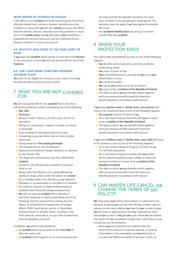#### **MADE WORSE BY SICKNESS OR DISEASE**

If the effects of an **accident** are made worse because the person affected already had a sickness, disease, naturally occurring condition or injury then **we** will ask a **doctor** to assess the effects that the sickness, disease, naturally occurring condition or injury has on the **bodily injury** and **we** will reduce **your** benefit by a proportionate amount taking any such pre-existing sickness, disease, condition or injury into account.

### **6.5 MULTIPLE FRACTURES TO THE SAME JOINT OR BONE**

If **you** have any **accident** which results in more than one **fracture** to the same joint or bone **we** will only pay benefit for one of the **fractures**.

### **6.6 CAN I HAVE MORE THAN ONE PERSONAL ACCIDENT PLAN?**

**You** will only be eligible for insurance cover under one of **our** Personal Accident policies at any one time.

### **7 WHAT YOU ARE NOT COVERED FOR**

**We** will not pay benefit for any **accident** that is directly or indirectly caused by or whilst undertaking any of the following:

- › **War risks**
- › **Terrorism**
- › Being on naval, military or air force duty, service or operations
- › Riding on a motorcycle, moped or scooter as a driver or passenger
- › Rock climbing or mountaineering of any type
- **Competing in any race other than on foot or whilst** swimming
- › Flying except as a **fare paying passenger**
- › The manufacture or use of explosives
- › Exposure to exceptional danger (except in an attempt to save human life)
- › The illegal acts of the person who has suffered the **accident**
- › Suicide or self-inflicted injury whether of a sound mind or not
- › Being under the influence of or being affected by alcohol or drugs unless under the advice of a **doctor** for a condition other than alcohol or drug addiction
- › Radiation or contamination or the effects of radiation
- › Any sickness, disease, or degenerative process (a condition which becomes progressively worse)
- › **We** will not pay any **accident** that is directly or indirectly caused by or whilst undertaking any of the following: travel to any territories whose Security Status, as advised by the Department of Foreign Affairs' (DFA) Travel Advice service, is 'Avoid Non-Essential Travel' or 'Do Not Travel', as shown in the DFA's web site, www.dfa.ie, on your date of departure from the Republic of Ireland

In addition, **we** will not pay benefit for:

- › an **accident** which occurs prior to the **start date** or after the cover ends
- **a** an **accident** which happens to an insured person who

has been outside the Republic of Ireland for more than 12 weeks in the preceding 52 week period. This exclusion does not apply if **we** have agreed to provide this cover

**a** any **accidental bodily injury** occurring 12 or more months after the **accident**.

### **8 WHEN YOUR PROTECTION ENDS**

This policy ends automatically as soon as one of the following happens:

- › **You** die (this will not prevent a claim for accidental death being made)
- › **You** reach 70 years of age
- › **Your** monthly premium is not paid by **you** or on **your** behalf when it is due
- › **You** cancel the policy
- › **We** cancel **your** policy as set out in clause 9
- › **You** cease to be a **resident of the Republic of Ireland**
- › The date on which **we** pay benefits which together with any previous benefits equal the maximum benefit payment in accordance with clause 6

If **you** have **partner cover** or **family cover**, **your partner** will cease to be covered as soon as one of the following happens:

- › **Your partner** reaches 70 years of age
- › He or she stops living permanently with **you** or ceases to be a **resident of the Republic of Ireland**
- › The date on which **we** pay benefits which together with any previous benefits equal the maximum benefit payment in accordance with clause 6

If **you** have **children cover** or **family cover**, **your child** will cease to be covered as soon as one of the following happens:

- › He or she reaches 18 years of age (or 23 years of age if in full time education)
- › He or she stops living permanently with **you** (other than to attend boarding school, college or university during term time) or ceases to be a **resident of the Republic of Ireland**
- › The date on which **we** pay benefits which together with any previous benefits equal the maximum benefit payment in accordance with clause 6

### **9 CAN MAIDEN LIFE CANCEL OR CHANGE THE TERMS OF MY POLICY?**

**We** may cancel **your** policy, where there is a valid reason for doing so, by giving **you** not less than 30 days written notice in advance to the latest address **we** have for **you** in order to give **you** the time or opportunity to arrange replacement cover should **you** so wish. If **we** give **you** such notice **we** will explain the reason for **our** cancellation in **our** letter. Valid reasons may include but are not limited to:

› where **you** are required in accordance with the terms of this policy to co-operate with **us**, or send **us** information or documentation and **you** fail to do so in a way that affects our ability to process a claim, or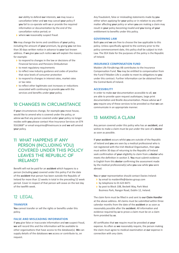**our** ability to defend **our** interests, **we** may issue a cancellation letter and **we** may cancel **your** policy if **you** fail to co-operate with **us** or provide the required information or documentation by the end of the cancellation notice period; or

› where **we** reasonably suspect fraud.

**We** may change the terms and conditions of **your** policy, including the amount of **your** premium, by giving **you** not less than 30 days written notice in advance to **your** last known address. If **we** give **you** such notice **we** will explain the reason; for example:

- **I** to respond to changes in the law or decisions of the Financial Services and Pensions Ombudsman
- **I** to meet regulatory requirements
- › to reflect new industry guidance and codes of practice that raise levels of consumer protection
- I to respond to changes in interest rates, market rates or tax rates
- › to reflect other legitimate cost increases or reductions associated with continuing to provide **you** with the services and benefits under **your** policy.

### **10 CHANGES IN CIRCUMSTANCE**

If **your** circumstances change, for example **you** move house, would like to amend who is covered under the policy, or advise **us** that any person covered under **your** policy no longer resides with **you** please contact Hive Insurance Services on 074 9161868\* or email enquiries@hiveinsure.ie and **we** will amend **your** policy.

### **11 WHAT HAPPENS IF ANY PERSON (INCLUDING YOU) COVERED UNDER THIS POLICY LEAVES THE REPUBLIC OF IRELAND?**

Benefit will not be paid for an **accident** which happens to a person (including **you**) covered under this policy if at the date of the **accident** that person has been outside the Republic of Ireland for more than 12 weeks in total in the preceding 52 week period. Cover in respect of that person will cease on the last day of the twelfth week.

### 12 LEGAL

#### **TRANSFER**

**You** cannot transfer or sell the rights or benefits under this policy.

### **FALSE AND MISLEADING INFORMATION**

If **you** give false or inaccurate information and **we** suspect fraud, **we** will record this and the information will be available to other organisations that have access to the database(s). **We** can supply details of the databases **we** access or contribute to, on request.

Any fraudulent, false or misleading statements made by **you** either when applying for **your** policy or in relation to any other matter affecting **your** policy or when **you** are making a claim may result in **your** policy becoming invalid and **you** losing all **your** entitlement to benefits under this policy.

#### **GOVERNING LAW**

Both **you** and **we** are free to choose the law applicable to this policy. Unless specifically agreed to the contrary prior to the policy commencement date, this policy shall be subject to Irish Law. The EEA State for the purposes of the policy is the Republic of Ireland.

#### **INSURANCE COMPENSATION FUND**

Maiden Life Försäkrings AB contributes to the Insurance Compensation Fund. **You** may be entitled to compensation from the Fund if Maiden Life is unable to meet its obligations to **you** under this contract. Further information can be obtained from the Central Bank of Ireland.

#### **ACCESSIBILITY**

In order to make **our** documentation accessible to all, **we** are able to provide upon request audiotapes, large print documentation and Braille documentation. Please advise **us** if **you** require any of these services to be provided so that **we** can communicate in an appropriate manner.

### 13 MAKING A CLAIM

Any person covered under this policy who has an **accident**, and wishes to make a claim must be put under the care of a **doctor** as soon as possible.

If **your accident** occurs whilst **you** are outside of the Republic of Ireland and **you** are seen by a medical professional who is not registered with the Irish Medical Organisation, then **you** must within 30 days of returning to the Republic of Ireland seek confirmation of **your** eligibility to claim from a **doctor** who meets the definition in section 3. **You** must submit evidence in English from this **doctor** confirming the assessment made by the medical professional(s) who **you** saw while **you** were abroad.

**You** or **your** representative should contact Davies Ireland:

- › by email to maidenlife@davies-group.com
- › by telephone to 01 623 8471
- › by post to Block 10B, Beckett Way, Park West Business Park, Nangor Road, Dublin 12, Ireland.

The claim form must be filled in and sent to **our Claim Handler** at the above address. All claims must be submitted within three calendar months from the date of the **accident** or as soon as reasonably possible after the **accident**. All information and evidence required by **us** to prove a claim must be on a claim form provided by **us**.

All certificates that **we** require must be provided at **your** expense. As often as **we** reasonably require, the person making the claim must agree to medical examination at **our** expense in connection with any claim.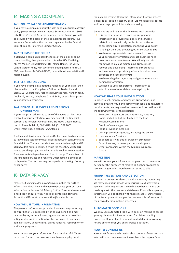### 14 MAKING A COMPLAINT

### **14.1 POLICY SALE OR ADMINISTRATION**

If **you** have a complaint about the sale or administration of **your** policy, please contact Hive Insurance Services, Suite 211, 3013 Lake Drive, Citywest Business Campus, Dublin 24 and **you** will be provided with details of their complaints procedure. Hive Insurance Servicesis authorised and regulated by the Central Bank of Ireland, Reference Number C29542.

#### **14.2 TERMS OF THE POLICY**

If **you** have a complaint about the terms of the policy or about claims handling, then please write to: Maiden Life Försäkrings AB, c/o Maiden Global Holdings Ltd, Albion House, The Valley Centre, Gordon Road, High Wycombe, Buckinghamshire, HP13 6EQ, telephone +44 1494 687599, or email customer.relations@ maideniis.com.

#### **14.3 CLAIMS HANDLING**

If **you** have a complaint about the handling of **your** claim, then please write to the Compliance Officer c/o Davies Ireland, Block 10B, Beckett Way, Park West Business Park, Nangor Road, Dublin 12, Ireland, telephone 01 623 8444, or email complaints. ireland@davies-group.com.

### **14.4 FINANCIAL SERVICES AND PENSIONS OMBUDSMAN**

If **your** complaint addressed to any of the above parties is not resolved to **your** satisfaction, **you** may contact the Financial Services and Pensions Ombudsman, 3rd Floor, Lincoln House, Lincoln Place, Dublin 2, D02 VH29. Tel: (01) 567 7000 Email: info@fspo.ie Website: www.fspo.ie

The Financial Services and Pensions Ombudsman has been set up by law to help settle individual disputes between consumers and financial firms. They can decide if **we** have acted wrongly and if **you** have lost out as a result. If this is the case they will tell **us** how to put things right and whether this involves compensation. Their service is independent and free of charge. The decision of the Financial Services and Pensions Ombudsman is binding on both parties. The decision may be appealed to the High Court by either party.

### 15 DATA PRIVACY

Please visit www.maidenlg.com/privacy\_notice for further information about how and when **we** process **your** personal information under **our** full Privacy Notice. **You** can also request a hard copy of **our** privacy notice by contacting **our** Data Protection Officer at dataprotection@maideniis.com.

#### **HOW WE USE YOUR INFORMATION**

The personal information, provided by **you** (or anyone acting on **your** behalf), is collected by or on **our** behalf and may be used by **us**, **our** employees, agents and service providers acting under **our** instruction for the purposes of insurance administration, underwriting, claims handling, research or for statistical purposes.

**We** may process **your** information for a number of different purposes. For each purpose **we** must have a legal ground

for such processing. When the information that **we** process is classed as 'special category data', **we** must have a specific additional legal ground for such processing.

Generally, **we** will rely on the following legal grounds:

- › It is necessary for **us** to process **your** personal information to provide this policy and services related to it. **We** will rely on this for activities such as assessing **your** application, managing **your** policy, handling claims and providing other services to **you**
- › **We** have an appropriate business need to process **your** personal information and such business need does not cause harm to **you**. **We** will rely on this for activities such as maintaining **our** business records and developing, improving **our** products and services, and providing information about **our** products and services to **you**
- › **We** have a legal or regulatory obligation to use such personal information
- › **We** need to use such personal information to establish, exercise or defend **our** legal rights

#### **HOW WE SHARE YOUR INFORMATION**

In order to sell, manage and provide **our** products and services, prevent fraud and comply with legal and regulatory requirements, **we** may need to share **your** information with the following types of third parties:

- › Reinsurers, Regulators and Authorised/Statutory Bodies including but not limited to the Irish Revenue Commissioner
- › Credit reference agencies
- › Fraud prevention agencies
- **I** Crime prevention agencies, including the police
- **I** Hive Insurance Services
- › Suppliers carrying out a service on **our** behalf
- Other insurers, business partners and agents
- › Other companies within the Maiden Insurance Group

#### **MARKETING**

**We** will not use **your** information or pass it on to any other person for the purposes of marketing further products or services to **you** unless **you** have consented to this.

#### **FRAUD PREVENTION AND DETECTION**

In order to prevent or detect fraud and money laundering **we** may check **your** details with various fraud prevention agencies, who may record a search. Searches may also be made against other insurers' databases. If fraud is suspected, information will be shared with those insurers. Other users of the fraud prevention agencies may use this information in their own decision making processes.

#### **AUTOMATED DECISIONS**

**We** may use automated tools with decision making to assess **your** application for insurance and for claims handling processes. If **you** object to an automated decision, **we** may not be able to offer **you** an insurance quotation.

### **HOW TO CONTACT US**

**You** can ask for more information about **our** use of **your** personal information or complain about its use, by contacting **our** Data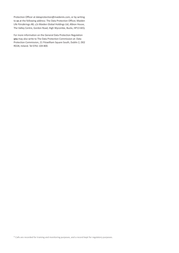Protection Officer at dataprotection@maideniis.com, or by writing to **us** at the following address: The Data Protection Officer, Maiden Life Försäkrings AB, c/o Maiden Global Holdings Ltd, Albion House, The Valley Centre, Gordon Road, High Wycombe, Bucks, HP13 6EQ.

For more information on the General Data Protection Regulation **you** may also write to The Data Protection Commission at: Data Protection Commission, 21 Fitzwilliam Square South, Dublin 2, D02 RD28, Ireland. Tel 0761 104 800.

\* Calls are recorded for training and monitoring purposes, and a record kept for regulatory purposes.